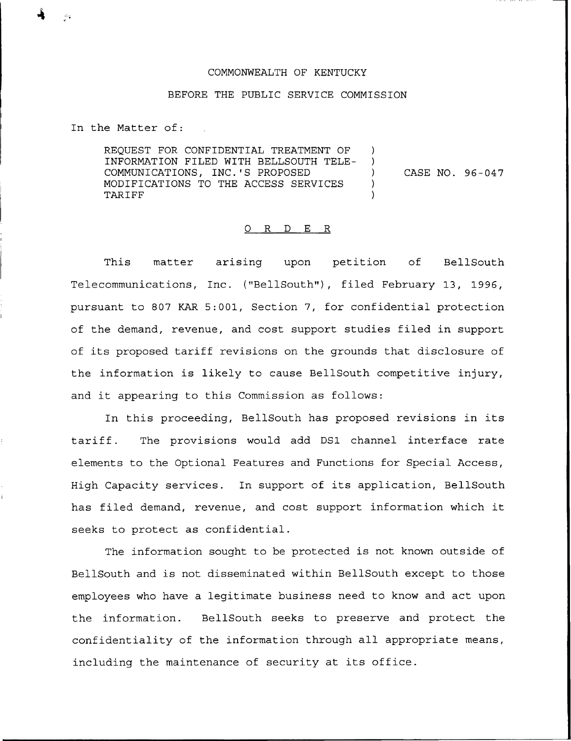## COMMONWEALTH OF KENTUCKY

## BEFORE THE PUBL1C SERVICE COMMISSION

In the Matter of:

REQUEST FOR CONFIDENTIAL TREATMENT OF INFORMATION FILED WITH BELLSOUTH TELE-COMMUNICATIONS, INC.'S PROPOSED ) MODIFICATIONS TO THE ACCESS SERVICES **TARIFF** 

CASE NO. 96-047

## 0 R <sup>D</sup> E R

This matter arising upon petition of BellSouth Telecommunications, Inc. ("BellSouth"), filed February 13, 1996, pursuant to 807 KAR 5:001, Section 7, for confidential protection of the demand, revenue, and cost support studies filed in support of its proposed tariff revisions on the grounds that disclosure of the information is likely to cause BellSouth competitive injury, and it appearing to this Commission as follows:

In this proceeding, BellSouth has proposed revisions in its tariff. The provisions would add DS1 channel interface rate elements to the Optional Features and Functions for Special Access, High Capacity services. In support of its application, BellSouth has filed demand, revenue, and cost support information which it seeks to protect as confidential.

The information sought to be protected is not known outside of BellSouth and is not disseminated within BellSouth except to those employees who have a legitimate business need to know and act upon the information. BellSouth seeks to preserve and protect the confidentiality of the information through all appropriate means, including the maintenance of security at its office.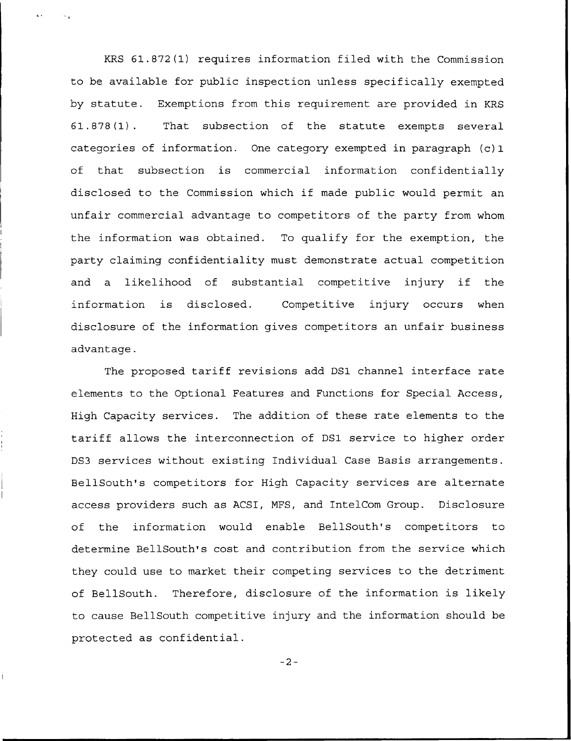KRS 61.872(1) requires information filed with the Commission to be available for public inspection unless specifically exempted by statute. Exemptions from this requirement are provided in KRS 61.878(1). That subsection of the statute exempts several categories of information. One category exempted in paragraph (c) 1 of that subsection is commercial information confidentially disclosed to the Commission which if made public would permit an unfair commercial advantage to competitors of the party from whom the information was obtained. To qualify for the exemption, the party claiming confidentiality must demonstrate actual competition and <sup>a</sup> likelihood of substantial competitive injury if the information is disclosed. Competitive injury occurs when disclosure of the information gives competitors an unfair business advantage.

The proposed tariff revisions add DS1 channel interface rate elements to the Optional Features and Functions for Special Access, High Capacity services. The addition of these rate elements to the tariff allows the interconnection of DS1 service to higher order DS3 services without existing Individual Case Basis arrangements. BellSouth's competitors for High Capacity services are alternate access providers such as ACSI, MFS, and IntelCom Group. Disclosure of the information would enable BellSouth's competitors to determine BellSouth's cost and contribution from the service which they could use to market their competing services to the detriment of BellSouth. Therefore, disclosure of the information is likely to cause BellSouth competitive injury and the information should be protected as confidential.

 $-2-$